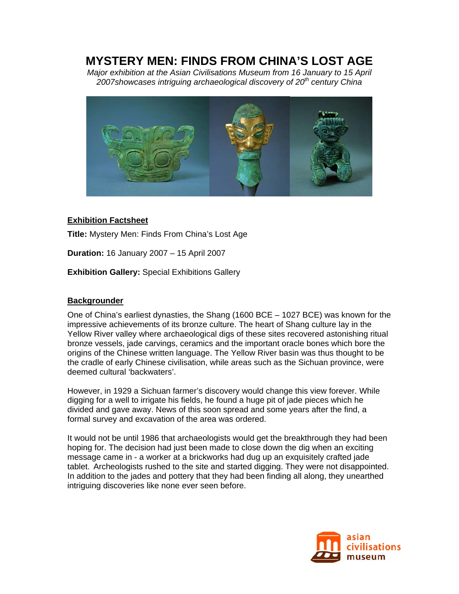# **MYSTERY MEN: FINDS FROM CHINA'S LOST AGE**

*Major exhibition at the Asian Civilisations Museum from 16 January to 15 April*  2007showcases intriguing archaeological discovery of 20<sup>th</sup> century China



### **Exhibition Factsheet**

**Title:** Mystery Men: Finds From China's Lost Age

**Duration:** 16 January 2007 – 15 April 2007

**Exhibition Gallery:** Special Exhibitions Gallery

## **Backgrounder**

One of China's earliest dynasties, the Shang (1600 BCE – 1027 BCE) was known for the impressive achievements of its bronze culture. The heart of Shang culture lay in the Yellow River valley where archaeological digs of these sites recovered astonishing ritual bronze vessels, jade carvings, ceramics and the important oracle bones which bore the origins of the Chinese written language. The Yellow River basin was thus thought to be the cradle of early Chinese civilisation, while areas such as the Sichuan province, were deemed cultural 'backwaters'.

However, in 1929 a Sichuan farmer's discovery would change this view forever. While digging for a well to irrigate his fields, he found a huge pit of jade pieces which he divided and gave away. News of this soon spread and some years after the find, a formal survey and excavation of the area was ordered.

It would not be until 1986 that archaeologists would get the breakthrough they had been hoping for. The decision had just been made to close down the dig when an exciting message came in - a worker at a brickworks had dug up an exquisitely crafted jade tablet. Archeologists rushed to the site and started digging. They were not disappointed. In addition to the jades and pottery that they had been finding all along, they unearthed intriguing discoveries like none ever seen before.

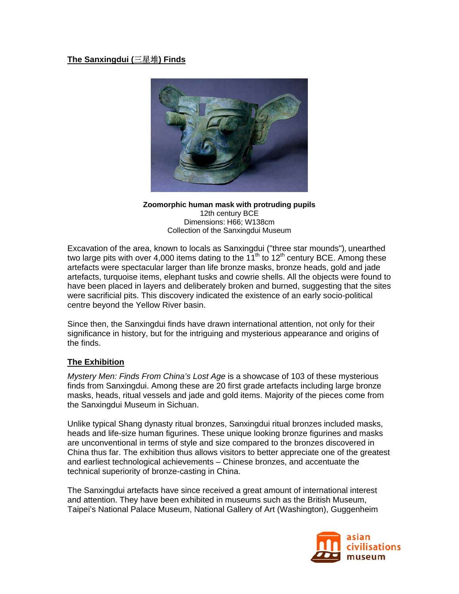# **The Sanxingdui (**三星堆**) Finds**



#### **Zoomorphic human mask with protruding pupils** 12th century BCE Dimensions: H66; W138cm Collection of the Sanxingdui Museum

Excavation of the area, known to locals as Sanxingdui ("three star mounds"), unearthed two large pits with over 4,000 items dating to the  $11<sup>th</sup>$  to  $12<sup>th</sup>$  century BCE. Among these artefacts were spectacular larger than life bronze masks, bronze heads, gold and jade artefacts, turquoise items, elephant tusks and cowrie shells. All the objects were found to have been placed in layers and deliberately broken and burned, suggesting that the sites were sacrificial pits. This discovery indicated the existence of an early socio-political centre beyond the Yellow River basin.

Since then, the Sanxingdui finds have drawn international attention, not only for their significance in history, but for the intriguing and mysterious appearance and origins of the finds.

# **The Exhibition**

*Mystery Men: Finds From China's Lost Age* is a showcase of 103 of these mysterious finds from Sanxingdui. Among these are 20 first grade artefacts including large bronze masks, heads, ritual vessels and jade and gold items. Majority of the pieces come from the Sanxingdui Museum in Sichuan.

Unlike typical Shang dynasty ritual bronzes, Sanxingdui ritual bronzes included masks, heads and life-size human figurines. These unique looking bronze figurines and masks are unconventional in terms of style and size compared to the bronzes discovered in China thus far. The exhibition thus allows visitors to better appreciate one of the greatest and earliest technological achievements – Chinese bronzes, and accentuate the technical superiority of bronze-casting in China.

The Sanxingdui artefacts have since received a great amount of international interest and attention. They have been exhibited in museums such as the British Museum, Taipei's National Palace Museum, National Gallery of Art (Washington), Guggenheim

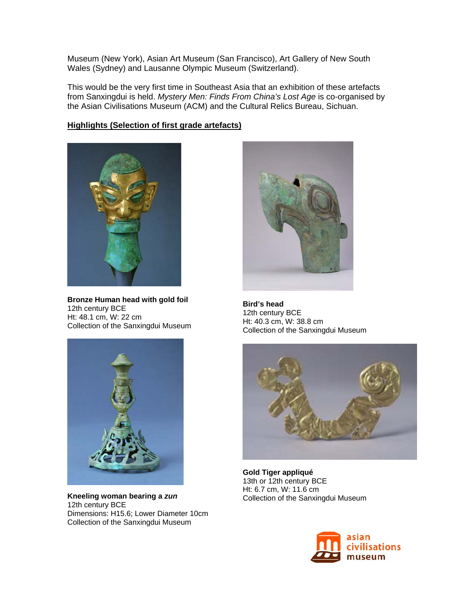Museum (New York), Asian Art Museum (San Francisco), Art Gallery of New South Wales (Sydney) and Lausanne Olympic Museum (Switzerland).

This would be the very first time in Southeast Asia that an exhibition of these artefacts from Sanxingdui is held. *Mystery Men: Finds From China's Lost Age* is co-organised by the Asian Civilisations Museum (ACM) and the Cultural Relics Bureau, Sichuan.

### **Highlights (Selection of first grade artefacts)**



**Bronze Human head with gold foil**  12th century BCE Ht: 48.1 cm, W: 22 cm Collection of the Sanxingdui Museum



**Kneeling woman bearing a** *zun*  12th century BCE Dimensions: H15.6; Lower Diameter 10cm Collection of the Sanxingdui Museum



**Bird's head**  12th century BCE Ht: 40.3 cm, W: 38.8 cm Collection of the Sanxingdui Museum



**Gold Tiger appliqué**  13th or 12th century BCE Ht: 6.7 cm, W: 11.6 cm Collection of the Sanxingdui Museum